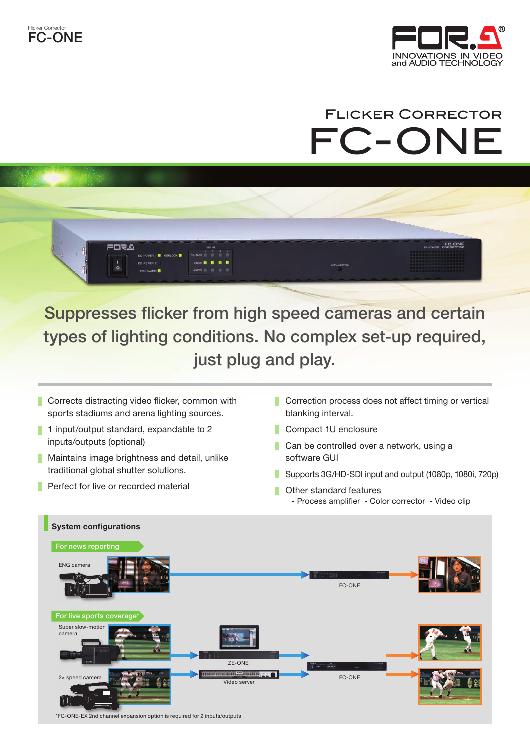



## FC-ONE FLICKER CORRECTOR



Suppresses flicker from high speed cameras and certain types of lighting conditions. No complex set-up required, just plug and play.

- $\blacksquare$  Corrects distracting video flicker, common with sports stadiums and arena lighting sources.
- 1 input/output standard, expandable to 2 F. inputs/outputs (optional)
- $\blacksquare$  Maintains image brightness and detail, unlike traditional global shutter solutions.
- $\blacksquare$  Perfect for live or recorded material
- $\blacksquare$  Correction process does not affect timing or vertical blanking interval.
- Compact 1U enclosure
- Can be controlled over a network, using a software GUI
- Supports 3G/HD-SDI input and output  $(1080p, 1080i, 720p)$
- Other standard features
	- Process amplifier Color corrector Video clip